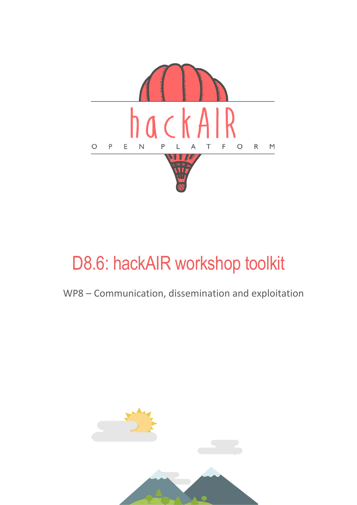

# D8.6: hackAIR workshop toolkit

### WP8 – Communication, dissemination and exploitation

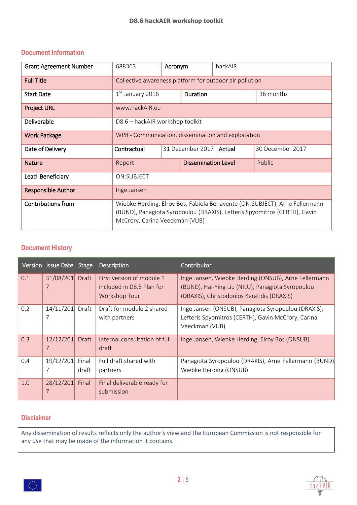| <b>Document Information</b> |
|-----------------------------|
|                             |

| <b>Grant Agreement Number</b> | 688363                                                                                                                                                                                     | Acronym |                            | hackAIR   |                  |
|-------------------------------|--------------------------------------------------------------------------------------------------------------------------------------------------------------------------------------------|---------|----------------------------|-----------|------------------|
| <b>Full Title</b>             | Collective awareness platform for outdoor air pollution                                                                                                                                    |         |                            |           |                  |
| <b>Start Date</b>             | $1st$ January 2016<br>Duration                                                                                                                                                             |         |                            | 36 months |                  |
| <b>Project URL</b>            | www.hackAIR.eu                                                                                                                                                                             |         |                            |           |                  |
| Deliverable                   | D8.6 - hackAIR workshop toolkit                                                                                                                                                            |         |                            |           |                  |
| <b>Work Package</b>           | WP8 - Communication, dissemination and exploitation                                                                                                                                        |         |                            |           |                  |
| Date of Delivery              | Contractual                                                                                                                                                                                |         | 31 December 2017           | Actual    | 30 December 2017 |
| <b>Nature</b>                 | Report                                                                                                                                                                                     |         | <b>Dissemination Level</b> |           | Public           |
| Lead Beneficiary              | ON:SUBJECT                                                                                                                                                                                 |         |                            |           |                  |
| <b>Responsible Author</b>     | Inge Jansen                                                                                                                                                                                |         |                            |           |                  |
| Contributions from            | Wiebke Herding, Elroy Bos, Fabiola Benavente (ON: SUBJECT), Arne Fellermann<br>(BUND), Panagiota Syropoulou (DRAXIS), Lefteris Spyomitros (CERTH), Gavin<br>McCrory, Carina Veeckman (VUB) |         |                            |           |                  |

#### **Document History**

|     | Version Issue Date Stage |                | Description                                                                    | Contributor                                                                                                                                             |
|-----|--------------------------|----------------|--------------------------------------------------------------------------------|---------------------------------------------------------------------------------------------------------------------------------------------------------|
| 0.1 | 31/08/201<br>7           | Draft          | First version of module 1<br>included in D8.5 Plan for<br><b>Workshop Tour</b> | Inge Jansen, Wiebke Herding (ONSUB), Arne Fellermann<br>(BUND), Hai-Ying Liu (NILU), Panagiota Syropoulou<br>(DRAXIS), Christodoulos Keratidis (DRAXIS) |
| 0.2 | 14/11/201<br>7           | Draft          | Draft for module 2 shared<br>with partners                                     | Inge Jansen (ONSUB), Panagiota Syropoulou (DRAXIS),<br>Lefteris Spyomitros (CERTH), Gavin McCrory, Carina<br>Veeckman (VUB)                             |
| 0.3 | 12/12/201<br>7           | Draft          | Internal consultation of full<br>draft                                         | Inge Jansen, Wiebke Herding, Elroy Bos (ONSUB)                                                                                                          |
| 0.4 | 19/12/201                | Final<br>draft | Full draft shared with<br>partners                                             | Panagiota Syropoulou (DRAXIS), Arne Fellermann (BUND)<br>Wiebke Herding (ONSUB)                                                                         |
| 1.0 | 28/12/201<br>7           | Final          | Final deliverable ready for<br>submission                                      |                                                                                                                                                         |

#### **Disclaimer**

Any dissemination of results reflects only the author's view and the European Commission is not responsible for any use that may be made of the information it contains.



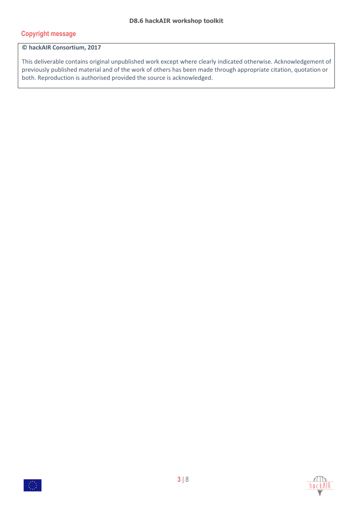#### **Copyright message**

#### **© hackAIR Consortium, 2017**

This deliverable contains original unpublished work except where clearly indicated otherwise. Acknowledgement of previously published material and of the work of others has been made through appropriate citation, quotation or both. Reproduction is authorised provided the source is acknowledged.



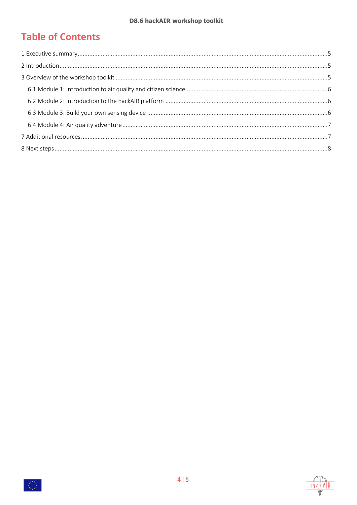## **Table of Contents**



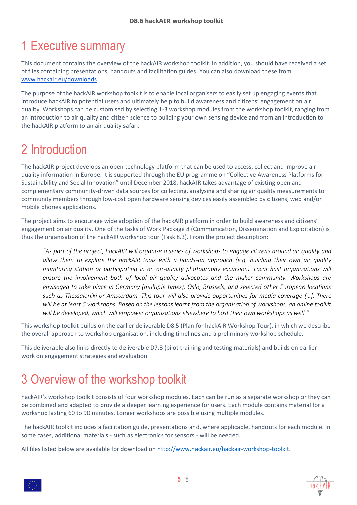## <span id="page-4-0"></span>1 Executive summary

This document contains the overview of the hackAIR workshop toolkit. In addition, you should have received a set of files containing presentations, handouts and facilitation guides. You can also download these from [www.hackair.eu/downloads.](http://www.hackair.eu/downloads)

The purpose of the hackAIR workshop toolkit is to enable local organisers to easily set up engaging events that introduce hackAIR to potential users and ultimately help to build awareness and citizens' engagement on air quality. Workshops can be customised by selecting 1-3 workshop modules from the workshop toolkit, ranging from an introduction to air quality and citizen science to building your own sensing device and from an introduction to the hackAIR platform to an air quality safari.

## <span id="page-4-1"></span>2 Introduction

The hackAIR project develops an open technology platform that can be used to access, collect and improve air quality information in Europe. It is supported through the EU programme on "Collective Awareness Platforms for Sustainability and Social Innovation" until December 2018. hackAIR takes advantage of existing open and complementary community-driven data sources for collecting, analysing and sharing air quality measurements to community members through low-cost open hardware sensing devices easily assembled by citizens, web and/or mobile phones applications.

The project aims to encourage wide adoption of the hackAIR platform in order to build awareness and citizens' engagement on air quality. One of the tasks of Work Package 8 (Communication, Dissemination and Exploitation) is thus the organisation of the hackAIR workshop tour (Task 8.3). From the project description:

*"As part of the project, hackAIR will organise a series of workshops to engage citizens around air quality and allow them to explore the hackAIR tools with a hands-on approach (e.g. building their own air quality monitoring station or participating in an air-quality photography excursion). Local host organizations will ensure the involvement both of local air quality advocates and the maker community. Workshops are envisaged to take place in Germany (multiple times), Oslo, Brussels, and selected other European locations such as Thessaloniki or Amsterdam. This tour will also provide opportunities for media coverage […]. There will be at least 6 workshops. Based on the lessons learnt from the organisation of workshops, an online toolkit will be developed, which will empower organisations elsewhere to host their own workshops as well."*

This workshop toolkit builds on the earlier deliverable D8.5 (Plan for hackAIR Workshop Tour), in which we describe the overall approach to workshop organisation, including timelines and a preliminary workshop schedule.

This deliverable also links directly to deliverable D7.3 (pilot training and testing materials) and builds on earlier work on engagement strategies and evaluation.

## <span id="page-4-2"></span>3 Overview of the workshop toolkit

hackAIR's workshop toolkit consists of four workshop modules. Each can be run as a separate workshop or they can be combined and adapted to provide a deeper learning experience for users. Each module contains material for a workshop lasting 60 to 90 minutes. Longer workshops are possible using multiple modules.

The hackAIR toolkit includes a facilitation guide, presentations and, where applicable, handouts for each module. In some cases, additional materials - such as electronics for sensors - will be needed.

All files listed below are available for download on [http://www.hackair.eu/hackair-workshop-toolkit.](http://www.hackair.eu/hackair-workshop-toolkit)



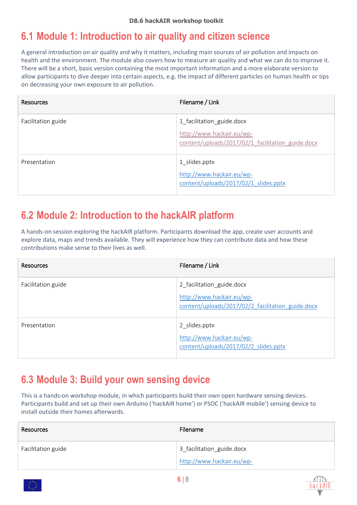#### **D8.6 hackAIR workshop toolkit**

### <span id="page-5-0"></span>**6.1 Module 1: Introduction to air quality and citizen science**

A general introduction on air quality and why it matters, including main sources of air pollution and impacts on health and the environment. The module also covers how to measure air quality and what we can do to improve it. There will be a short, basic version containing the most important information and a more elaborate version to allow participants to dive deeper into certain aspects, e.g. the impact of different particles on human health or tips on decreasing your own exposure to air pollution.

| <b>Resources</b>   | Filename / Link                                                                                             |
|--------------------|-------------------------------------------------------------------------------------------------------------|
| Facilitation guide | 1_facilitation_guide.docx<br>http://www.hackair.eu/wp-<br>content/uploads/2017/02/1 facilitation guide.docx |
| Presentation       | 1 slides.pptx<br>http://www.hackair.eu/wp-<br>content/uploads/2017/02/1 slides.pptx                         |

### <span id="page-5-1"></span>**6.2 Module 2: Introduction to the hackAIR platform**

A hands-on session exploring the hackAIR platform. Participants download the app, create user accounts and explore data, maps and trends available. They will experience how they can contribute data and how these contributions make sense to their lives as well.

| Resources          | Filename / Link                                                                                             |
|--------------------|-------------------------------------------------------------------------------------------------------------|
| Facilitation guide | 2_facilitation_guide.docx<br>http://www.hackair.eu/wp-<br>content/uploads/2017/02/2_facilitation_guide.docx |
| Presentation       | 2 slides.pptx<br>http://www.hackair.eu/wp-<br>content/uploads/2017/02/2 slides.pptx                         |

### <span id="page-5-2"></span>**6.3 Module 3: Build your own sensing device**

This is a hands-on workshop module, in which participants build their own open hardware sensing devices. Participants build and set up their own Arduino ('hackAIR home') or PSOC ('hackAIR mobile') sensing device to install outside their homes afterwards.

| <b>Resources</b>   | Filename                  |
|--------------------|---------------------------|
| Facilitation guide | 3_facilitation_guide.docx |
|                    | http://www.hackair.eu/wp- |

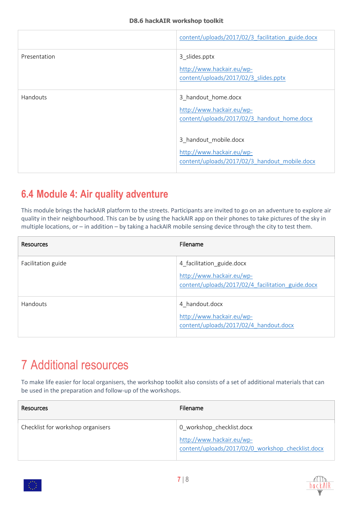|              | content/uploads/2017/02/3 facilitation guide.docx                                                   |
|--------------|-----------------------------------------------------------------------------------------------------|
| Presentation | 3 slides.pptx<br>http://www.hackair.eu/wp-<br>content/uploads/2017/02/3 slides.pptx                 |
| Handouts     | 3_handout_home.docx<br>http://www.hackair.eu/wp-<br>content/uploads/2017/02/3 handout home.docx     |
|              | 3_handout_mobile.docx<br>http://www.hackair.eu/wp-<br>content/uploads/2017/02/3 handout mobile.docx |

## <span id="page-6-0"></span>**6.4 Module 4: Air quality adventure**

This module brings the hackAIR platform to the streets. Participants are invited to go on an adventure to explore air quality in their neighbourhood. This can be by using the hackAIR app on their phones to take pictures of the sky in multiple locations, or – in addition – by taking a hackAIR mobile sensing device through the city to test them.

| Resources          | Filename                                                                                                    |
|--------------------|-------------------------------------------------------------------------------------------------------------|
| Facilitation guide | 4 facilitation guide.docx<br>http://www.hackair.eu/wp-<br>content/uploads/2017/02/4 facilitation guide.docx |
| Handouts           | 4 handout.docx<br>http://www.hackair.eu/wp-<br>content/uploads/2017/02/4 handout.docx                       |

## <span id="page-6-1"></span>7 Additional resources

To make life easier for local organisers, the workshop toolkit also consists of a set of additional materials that can be used in the preparation and follow-up of the workshops.

| <b>Resources</b>                  | <b>Filename</b>                                                                |
|-----------------------------------|--------------------------------------------------------------------------------|
| Checklist for workshop organisers | 0_workshop_checklist.docx                                                      |
|                                   | http://www.hackair.eu/wp-<br>content/uploads/2017/02/0 workshop checklist.docx |